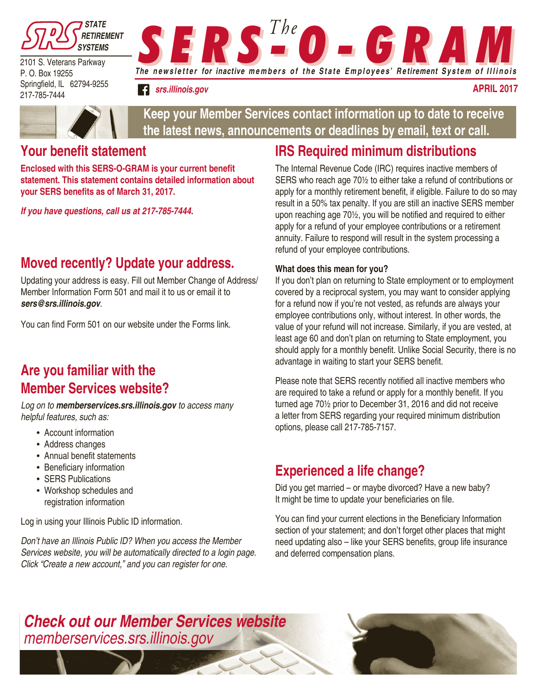

2101 S. Veterans Parkway P. O. Box 19255 Springfield, IL 62794-9255 217-785-7444



*srs.illinois.gov*

**April 2017**



**Keep your Member Services contact information up to date to receive the latest news, announcements or deadlines by email, text or call.**

### **Your benefit statement**

**Enclosed with this SERS-O-GRAM is your current benefit statement. This statement contains detailed information about your SERS benefits as of March 31, 2017.** 

*If you have questions, call us at 217-785-7444.* 

## **Moved recently? Update your address.**

Updating your address is easy. Fill out Member Change of Address/ Member Information Form 501 and mail it to us or email it to *sers@srs.illinois.gov*.

You can find Form 501 on our website under the Forms link.

## **Are you familiar with the Member Services website?**

*Log on to memberservices.srs.illinois.gov to access many helpful features, such as:*

- Account information
- Address changes
- Annual benefit statements
- Beneficiary information
- SERS Publications
- Workshop schedules and registration information

Log in using your Illinois Public ID information.

*Don't have an Illinois Public ID? When you access the Member Services website, you will be automatically directed to a login page. Click "Create a new account," and you can register for one.*

## **IRS Required minimum distributions**

The Internal Revenue Code (IRC) requires inactive members of SERS who reach age 70½ to either take a refund of contributions or apply for a monthly retirement benefit, if eligible. Failure to do so may result in a 50% tax penalty. If you are still an inactive SERS member upon reaching age 70½, you will be notified and required to either apply for a refund of your employee contributions or a retirement annuity. Failure to respond will result in the system processing a refund of your employee contributions.

#### **What does this mean for you?**

If you don't plan on returning to State employment or to employment covered by a reciprocal system, you may want to consider applying for a refund now if you're not vested, as refunds are always your employee contributions only, without interest. In other words, the value of your refund will not increase. Similarly, if you are vested, at least age 60 and don't plan on returning to State employment, you should apply for a monthly benefit. Unlike Social Security, there is no advantage in waiting to start your SERS benefit.

Please note that SERS recently notified all inactive members who are required to take a refund or apply for a monthly benefit. If you turned age 70½ prior to December 31, 2016 and did not receive a letter from SERS regarding your required minimum distribution options, please call 217-785-7157.

# **Experienced a life change?**

Did you get married – or maybe divorced? Have a new baby? It might be time to update your beneficiaries on file.

You can find your current elections in the Beneficiary Information section of your statement; and don't forget other places that might need updating also – like your SERS benefits, group life insurance and deferred compensation plans.

### *Check out our Member Services website memberservices.srs.illinois.gov*